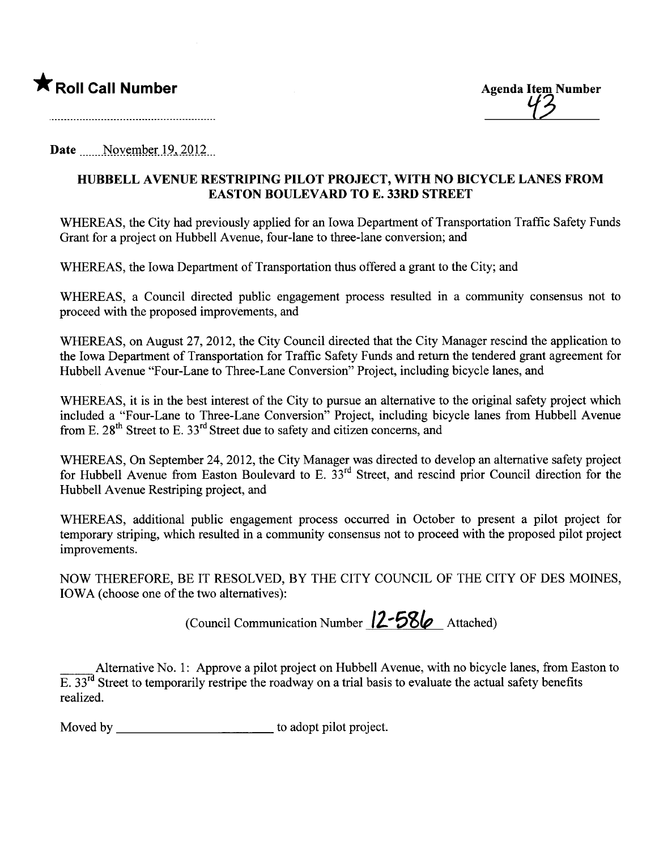

<u>'12</u>

and the contract of the contract of the contract of the contract of the contract of the contract of the contract of

Date  $\blacksquare$  November 19, 2012

## HUBBELL AVENUE RESTRIPING PILOT PROJECT, WITH NO BICYCLE LANES FROM EASTON BOULEVARD TO E. 33RD STREET

WHEREAS, the City had previously applied for an Iowa Department of Transportation Traffic Safety Funds Grant for a project on Hubbell Avenue, four-lane to three-lane conversion; and

WHEREAS, the Iowa Deparment of Transportation thus offered a grant to the City; and

WHEREAS, a Council directed public engagement process resulted in a community consensus not to proceed with the proposed improvements, and

WHEREAS, on August 27, 2012, the City Council directed that the City Manager rescind the application to the Iowa Deparment of Transportation for Traffic Safety Funds and return the tendered grant agreement for Hubbell Avenue "Four-Lane to Three-Lane Conversion" Project, including bicycle lanes, and

WHEREAS, it is in the best interest of the City to pursue an alternative to the original safety project which included a "Four-Lane to Three-Lane Conversion" Project, including bicycle lanes from Hubbell Avenue from E.  $28<sup>th</sup>$  Street to E.  $33<sup>rd</sup>$  Street due to safety and citizen concerns, and

WHEREAS, On September 24,2012, the City Manager was directed to develop an alternative safety project for Hubbell Avenue from Easton Boulevard to E.  $33<sup>rd</sup>$  Street, and rescind prior Council direction for the Hubbell Avenue Restriping project, and

WHEREAS, additional public engagement process occured in October to present a pilot project for temporary striping, which resulted in a community consensus not to proceed with the proposed pilot project improvements.

NOW THEREFORE, BE IT RESOLVED, BY THE CITY COUNCIL OF THE CITY OF DES MOINES, IOWA (choose one of the two alternatives):

(Council Communication Number  $12-586$  Attached)

Alternative No. 1: Approve a pilot project on Hubbell Avenue, with no bicycle lanes, from Easton to  $E. 33<sup>rd</sup>$  Street to temporarily restripe the roadway on a trial basis to evaluate the actual safety benefits realized.

Moved by to adopt pilot project.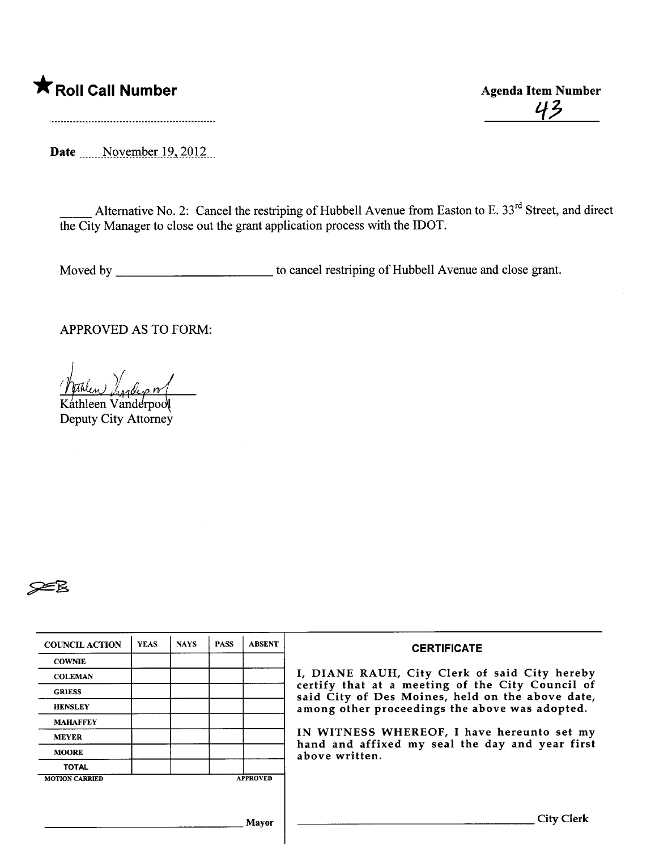## \* Roll Call Number Agenda Item Number

43

Date \_\_\_\_\_November 19, 2012\_

Alternative No. 2: Cancel the restriping of Hubbell Avenue from Easton to E. 33<sup>rd</sup> Street, and direct the City Manager to close out the grant application process with the IDOT.

Moved by \_\_\_\_\_\_\_\_\_\_\_\_\_\_\_\_\_\_\_\_\_\_\_\_\_\_ to cancel restriping of Hubbell Avenue and close grant.

APPROVED AS TO FORM:

l thlew) Light on

Kathleen Vanderpool Deputy City Attorney



| <b>COUNCIL ACTION</b> | <b>YEAS</b> | <b>NAYS</b> | <b>PASS</b> | <b>ABSENT</b>   | <b>CERTIFICATE</b>                                                                                                                                                                                                                                                                                                         |  |  |
|-----------------------|-------------|-------------|-------------|-----------------|----------------------------------------------------------------------------------------------------------------------------------------------------------------------------------------------------------------------------------------------------------------------------------------------------------------------------|--|--|
| <b>COWNIE</b>         |             |             |             |                 |                                                                                                                                                                                                                                                                                                                            |  |  |
| <b>COLEMAN</b>        |             |             |             |                 | I, DIANE RAUH, City Clerk of said City hereby<br>certify that at a meeting of the City Council of<br>said City of Des Moines, held on the above date,<br>among other proceedings the above was adopted.<br>IN WITNESS WHEREOF, I have hereunto set my<br>hand and affixed my seal the day and year first<br>above written. |  |  |
| <b>GRIESS</b>         |             |             |             |                 |                                                                                                                                                                                                                                                                                                                            |  |  |
| <b>HENSLEY</b>        |             |             |             |                 |                                                                                                                                                                                                                                                                                                                            |  |  |
| <b>MAHAFFEY</b>       |             |             |             |                 |                                                                                                                                                                                                                                                                                                                            |  |  |
| <b>MEYER</b>          |             |             |             |                 |                                                                                                                                                                                                                                                                                                                            |  |  |
| <b>MOORE</b>          |             |             |             |                 |                                                                                                                                                                                                                                                                                                                            |  |  |
| <b>TOTAL</b>          |             |             |             |                 |                                                                                                                                                                                                                                                                                                                            |  |  |
| <b>MOTION CARRIED</b> |             |             |             | <b>APPROVED</b> |                                                                                                                                                                                                                                                                                                                            |  |  |
|                       |             |             |             |                 |                                                                                                                                                                                                                                                                                                                            |  |  |
|                       |             |             |             |                 |                                                                                                                                                                                                                                                                                                                            |  |  |
|                       |             |             |             | Mayor           | <b>City Clerk</b>                                                                                                                                                                                                                                                                                                          |  |  |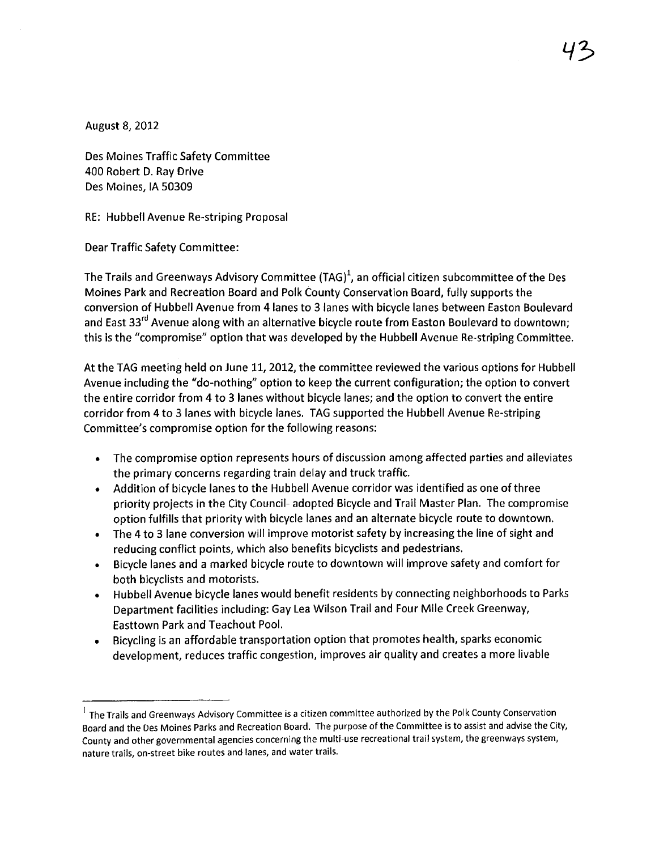August 8, 2012

Des Moines Traffic Safety Committee 400 Robert D. Ray Drive Des Moines, IA 50309

RE: Hubbell Avenue Re-striping Proposal

Dear Traffic Safety Committee:

The Trails and Greenways Advisory Committee (TAG)<sup>1</sup>, an official citizen subcommittee of the Des Moines Park and Recreation Board and Polk County Conservation Board, fully supports the conversion of Hubbell Avenue from 4 lanes to 3 lanes with bicycle lanes between Easton Boulevard and East 33<sup>rd</sup> Avenue along with an alternative bicycle route from Easton Boulevard to downtown; this is the "compromise" option that was developed by the Hubbell Avenue Re-striping Committee.

At the TAG meeting held on June 11,2012, the committee reviewed the various options for Hubbell Avenue including the "do-nothing" option to keep the current configuration; the option to convert the entire corridor from 4 to 3 lanes without bicycle lanes; and the option to convert the entire corridor from 4 to 3 lanes with bicycle lanes. TAG supported the Hubbell Avenue Re-striping Committee's compromise option for the following reasons:

- . The compromise option represents hours of discussion among affected parties and alleviates the primary concerns regarding train delay and truck traffic.
- . Addition of bicycle lanes to the Hubbell Avenue corridor was identified as one of three priority projects in the City Council- adopted Bicycle and Trail Master Plan. The compromise option fulfills that priority with bicycle lanes and an alternate bicycle route to downtown.
- . The 4 to 3 lane conversion will improve motorist safety by increasing the line of sight and reducing conflict points, which also benefits bicyclists and pedestrians.
- . Bicycle lanes and a marked bicycle route to downtown will improve safety and comfort for both bicyclists and motorists.
- . Hubbell Avenue bicycle lanes would benefit residents by connecting neighborhoods to Parks Department facilities including: Gay Lea Wilson Trail and Four Mile Creek Greenway, Easttown Park and Teachout Pool.
- . Bicycling is an affordable transportation option that promotes health, sparks economic development, reduces traffic congestion, improves air quality and creates a more livable

 $<sup>1</sup>$  The Trails and Greenways Advisory Committee is a citizen committee authorized by the Polk County Conservation</sup> Board and the Des Moines Parks and Recreation Board. The purpose of the Committee is to assist and advise the City, County and other governmental agencies concerning the multi-use recreational trail system, the greenways system, nature trails, on-street bike routes and lanes, and water trails.